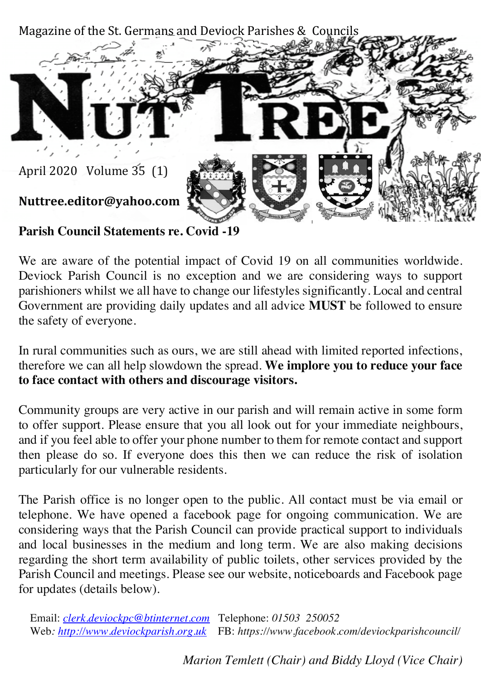

**Parish Council Statements re. Covid -19**

We are aware of the potential impact of Covid 19 on all communities worldwide. Deviock Parish Council is no exception and we are considering ways to support parishioners whilst we all have to change our lifestyles significantly. Local and central Government are providing daily updates and all advice **MUST** be followed to ensure the safety of everyone.

In rural communities such as ours, we are still ahead with limited reported infections, therefore we can all help slowdown the spread. **We implore you to reduce your face to face contact with others and discourage visitors.**

Community groups are very active in our parish and will remain active in some form to offer support. Please ensure that you all look out for your immediate neighbours, and if you feel able to offer your phone number to them for remote contact and support then please do so. If everyone does this then we can reduce the risk of isolation particularly for our vulnerable residents.

The Parish office is no longer open to the public. All contact must be via email or telephone. We have opened a facebook page for ongoing communication. We are considering ways that the Parish Council can provide practical support to individuals and local businesses in the medium and long term. We are also making decisions regarding the short term availability of public toilets, other services provided by the Parish Council and meetings. Please see our website, noticeboards and Facebook page for updates (details below).

Email: *clerk.deviockpc@btinternet.com* Telephone: *01503 250052* Web*: http://www.deviockparish.org.uk* FB: *https://www.facebook.com/deviockparishcouncil/* 

*Marion Temlett (Chair) and Biddy Lloyd (Vice Chair)*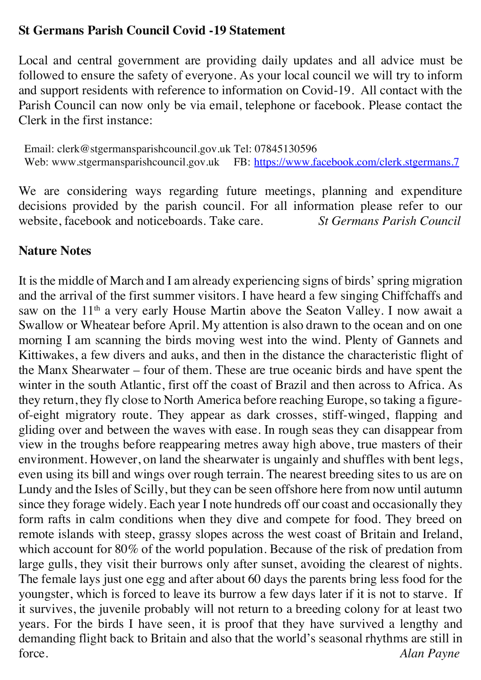### **St Germans Parish Council Covid -19 Statement**

Local and central government are providing daily updates and all advice must be followed to ensure the safety of everyone. As your local council we will try to inform and support residents with reference to information on Covid-19. All contact with the Parish Council can now only be via email, telephone or facebook. Please contact the Clerk in the first instance:

 Email: clerk@stgermansparishcouncil.gov.uk Tel: 07845130596 Web: www.stgermansparishcouncil.gov.uk FB: https://www.facebook.com/clerk.stgermans.7

We are considering ways regarding future meetings, planning and expenditure decisions provided by the parish council. For all information please refer to our website, facebook and noticeboards. Take care. *St Germans Parish Council*

### **Nature Notes**

It is the middle of March and I am already experiencing signs of birds' spring migration and the arrival of the first summer visitors. I have heard a few singing Chiffchaffs and saw on the 11<sup>th</sup> a very early House Martin above the Seaton Valley. I now await a Swallow or Wheatear before April. My attention is also drawn to the ocean and on one morning I am scanning the birds moving west into the wind. Plenty of Gannets and Kittiwakes, a few divers and auks, and then in the distance the characteristic flight of the Manx Shearwater – four of them. These are true oceanic birds and have spent the winter in the south Atlantic, first off the coast of Brazil and then across to Africa. As they return, they fly close to North America before reaching Europe, so taking a figureof-eight migratory route. They appear as dark crosses, stiff-winged, flapping and gliding over and between the waves with ease. In rough seas they can disappear from view in the troughs before reappearing metres away high above, true masters of their environment. However, on land the shearwater is ungainly and shuffles with bent legs, even using its bill and wings over rough terrain. The nearest breeding sites to us are on Lundy and the Isles of Scilly, but they can be seen offshore here from now until autumn since they forage widely. Each year I note hundreds off our coast and occasionally they form rafts in calm conditions when they dive and compete for food. They breed on remote islands with steep, grassy slopes across the west coast of Britain and Ireland, which account for 80% of the world population. Because of the risk of predation from large gulls, they visit their burrows only after sunset, avoiding the clearest of nights. The female lays just one egg and after about 60 days the parents bring less food for the youngster, which is forced to leave its burrow a few days later if it is not to starve. If it survives, the juvenile probably will not return to a breeding colony for at least two years. For the birds I have seen, it is proof that they have survived a lengthy and demanding flight back to Britain and also that the world's seasonal rhythms are still in force. *Alan Payne*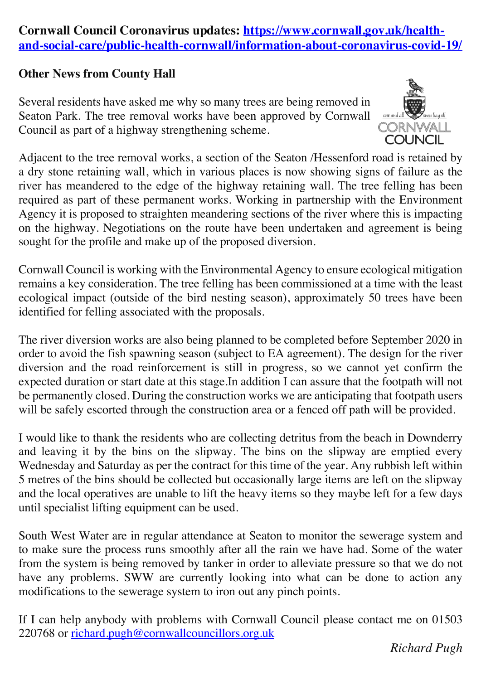### **Cornwall Council Coronavirus updates: https://www.cornwall.gov.uk/healthand-social-care/public-health-cornwall/information-about-coronavirus-covid-19/**

#### **Other News from County Hall**

Several residents have asked me why so many trees are being removed in Seaton Park. The tree removal works have been approved by Cornwall Council as part of a highway strengthening scheme.



Adjacent to the tree removal works, a section of the Seaton /Hessenford road is retained by a dry stone retaining wall, which in various places is now showing signs of failure as the river has meandered to the edge of the highway retaining wall. The tree felling has been required as part of these permanent works. Working in partnership with the Environment Agency it is proposed to straighten meandering sections of the river where this is impacting on the highway. Negotiations on the route have been undertaken and agreement is being sought for the profile and make up of the proposed diversion.

Cornwall Council is working with the Environmental Agency to ensure ecological mitigation remains a key consideration. The tree felling has been commissioned at a time with the least ecological impact (outside of the bird nesting season), approximately 50 trees have been identified for felling associated with the proposals.

The river diversion works are also being planned to be completed before September 2020 in order to avoid the fish spawning season (subject to EA agreement). The design for the river diversion and the road reinforcement is still in progress, so we cannot yet confirm the expected duration or start date at this stage.In addition I can assure that the footpath will not be permanently closed. During the construction works we are anticipating that footpath users will be safely escorted through the construction area or a fenced off path will be provided.

I would like to thank the residents who are collecting detritus from the beach in Downderry and leaving it by the bins on the slipway. The bins on the slipway are emptied every Wednesday and Saturday as per the contract for this time of the year. Any rubbish left within 5 metres of the bins should be collected but occasionally large items are left on the slipway and the local operatives are unable to lift the heavy items so they maybe left for a few days until specialist lifting equipment can be used.

South West Water are in regular attendance at Seaton to monitor the sewerage system and to make sure the process runs smoothly after all the rain we have had. Some of the water from the system is being removed by tanker in order to alleviate pressure so that we do not have any problems. SWW are currently looking into what can be done to action any modifications to the sewerage system to iron out any pinch points.

If I can help anybody with problems with Cornwall Council please contact me on 01503 220768 or richard.pugh@cornwallcouncillors.org.uk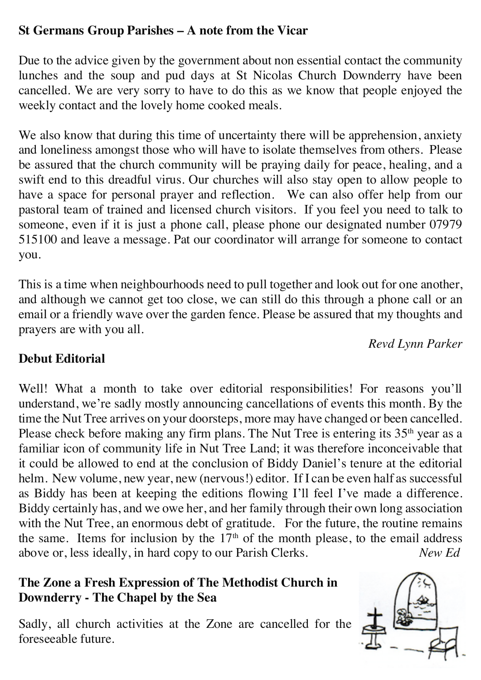# **St Germans Group Parishes – A note from the Vicar**

Due to the advice given by the government about non essential contact the community lunches and the soup and pud days at St Nicolas Church Downderry have been cancelled. We are very sorry to have to do this as we know that people enjoyed the weekly contact and the lovely home cooked meals.

We also know that during this time of uncertainty there will be apprehension, anxiety and loneliness amongst those who will have to isolate themselves from others. Please be assured that the church community will be praying daily for peace, healing, and a swift end to this dreadful virus. Our churches will also stay open to allow people to have a space for personal prayer and reflection. We can also offer help from our pastoral team of trained and licensed church visitors. If you feel you need to talk to someone, even if it is just a phone call, please phone our designated number 07979 515100 and leave a message. Pat our coordinator will arrange for someone to contact you.

This is a time when neighbourhoods need to pull together and look out for one another, and although we cannot get too close, we can still do this through a phone call or an email or a friendly wave over the garden fence. Please be assured that my thoughts and prayers are with you all.

*Revd Lynn Parker*

# **Debut Editorial**

Well! What a month to take over editorial responsibilities! For reasons you'll understand, we're sadly mostly announcing cancellations of events this month. By the time the Nut Tree arrives on your doorsteps, more may have changed or been cancelled. Please check before making any firm plans. The Nut Tree is entering its 35<sup>th</sup> year as a familiar icon of community life in Nut Tree Land; it was therefore inconceivable that it could be allowed to end at the conclusion of Biddy Daniel's tenure at the editorial helm. New volume, new year, new (nervous!) editor. If I can be even half as successful as Biddy has been at keeping the editions flowing I'll feel I've made a difference. Biddy certainly has, and we owe her, and her family through their own long association with the Nut Tree, an enormous debt of gratitude. For the future, the routine remains the same. Items for inclusion by the  $17<sup>th</sup>$  of the month please, to the email address above or, less ideally, in hard copy to our Parish Clerks. *New Ed*

# **The Zone a Fresh Expression of The Methodist Church in Downderry - The Chapel by the Sea**

Sadly, all church activities at the Zone are cancelled for the foreseeable future.

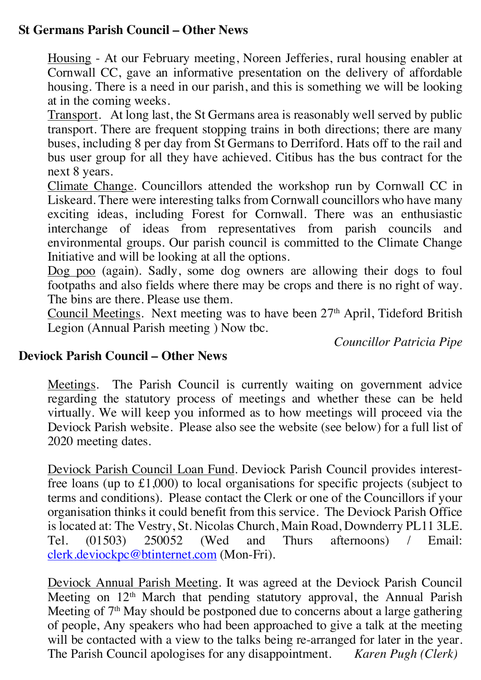### **St Germans Parish Council – Other News**

Housing - At our February meeting, Noreen Jefferies, rural housing enabler at Cornwall CC, gave an informative presentation on the delivery of affordable housing. There is a need in our parish, and this is something we will be looking at in the coming weeks.

Transport. At long last, the St Germans area is reasonably well served by public transport. There are frequent stopping trains in both directions; there are many buses, including 8 per day from St Germans to Derriford. Hats off to the rail and bus user group for all they have achieved. Citibus has the bus contract for the next 8 years.

Climate Change. Councillors attended the workshop run by Cornwall CC in Liskeard. There were interesting talks from Cornwall councillors who have many exciting ideas, including Forest for Cornwall. There was an enthusiastic interchange of ideas from representatives from parish councils and environmental groups. Our parish council is committed to the Climate Change Initiative and will be looking at all the options.

Dog poo (again). Sadly, some dog owners are allowing their dogs to foul footpaths and also fields where there may be crops and there is no right of way. The bins are there. Please use them.

Council Meetings. Next meeting was to have been 27<sup>th</sup> April, Tideford British Legion (Annual Parish meeting ) Now tbc.

*Councillor Patricia Pipe*

#### **Deviock Parish Council – Other News**

Meetings. The Parish Council is currently waiting on government advice regarding the statutory process of meetings and whether these can be held virtually. We will keep you informed as to how meetings will proceed via the Deviock Parish website. Please also see the website (see below) for a full list of 2020 meeting dates.

Deviock Parish Council Loan Fund. Deviock Parish Council provides interestfree loans (up to £1,000) to local organisations for specific projects (subject to terms and conditions). Please contact the Clerk or one of the Councillors if your organisation thinks it could benefit from this service. The Deviock Parish Office is located at: The Vestry, St. Nicolas Church, Main Road, Downderry PL11 3LE.<br>Tel. (01503) 250052 (Wed and Thurs afternoons) / Email: Tel. (01503) 250052 (Wed and Thurs afternoons) / Email: clerk.deviockpc@btinternet.com (Mon-Fri).

Deviock Annual Parish Meeting. It was agreed at the Deviock Parish Council Meeting on 12<sup>th</sup> March that pending statutory approval, the Annual Parish Meeting of  $7<sup>th</sup>$  May should be postponed due to concerns about a large gathering of people, Any speakers who had been approached to give a talk at the meeting will be contacted with a view to the talks being re-arranged for later in the year. The Parish Council apologises for any disappointment. *Karen Pugh (Clerk)*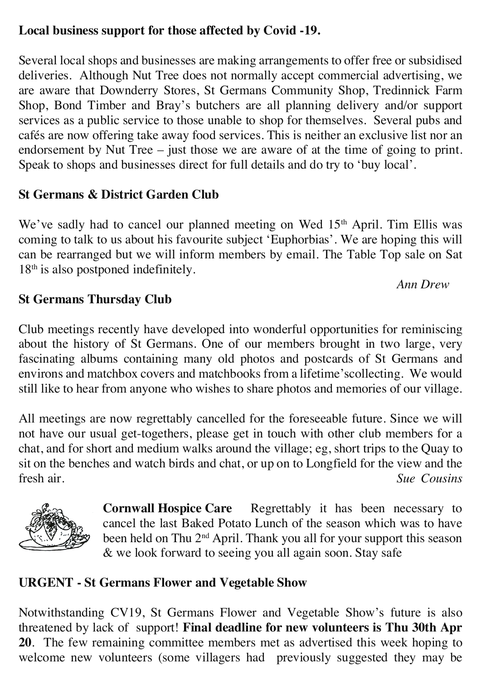### **Local business support for those affected by Covid -19.**

Several local shops and businesses are making arrangements to offer free or subsidised deliveries. Although Nut Tree does not normally accept commercial advertising, we are aware that Downderry Stores, St Germans Community Shop, Tredinnick Farm Shop, Bond Timber and Bray's butchers are all planning delivery and/or support services as a public service to those unable to shop for themselves. Several pubs and cafés are now offering take away food services. This is neither an exclusive list nor an endorsement by Nut Tree – just those we are aware of at the time of going to print. Speak to shops and businesses direct for full details and do try to 'buy local'.

# **St Germans & District Garden Club**

We've sadly had to cancel our planned meeting on Wed 15<sup>th</sup> April. Tim Ellis was coming to talk to us about his favourite subject 'Euphorbias'. We are hoping this will can be rearranged but we will inform members by email. The Table Top sale on Sat 18<sup>th</sup> is also postponed indefinitely.

#### *Ann Drew*

# **St Germans Thursday Club**

Club meetings recently have developed into wonderful opportunities for reminiscing about the history of St Germans. One of our members brought in two large, very fascinating albums containing many old photos and postcards of St Germans and environs and matchbox covers and matchbooks from a lifetime'scollecting. We would still like to hear from anyone who wishes to share photos and memories of our village.

All meetings are now regrettably cancelled for the foreseeable future. Since we will not have our usual get-togethers, please get in touch with other club members for a chat, and for short and medium walks around the village; eg, short trips to the Quay to sit on the benches and watch birds and chat, or up on to Longfield for the view and the fresh air. *Sue Cousins*



**Cornwall Hospice Care** Regrettably it has been necessary to cancel the last Baked Potato Lunch of the season which was to have been held on Thu 2<sup>nd</sup> April. Thank you all for your support this season & we look forward to seeing you all again soon. Stay safe

# **URGENT - St Germans Flower and Vegetable Show**

Notwithstanding CV19, St Germans Flower and Vegetable Show's future is also threatened by lack of support! **Final deadline for new volunteers is Thu 30th Apr 20**. The few remaining committee members met as advertised this week hoping to welcome new volunteers (some villagers had previously suggested they may be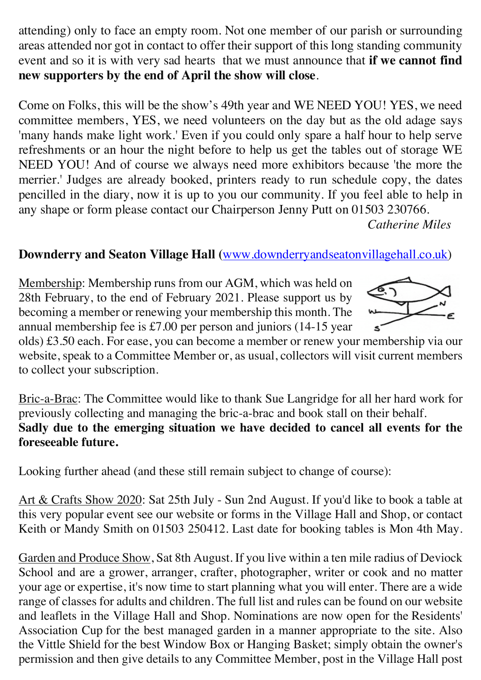attending) only to face an empty room. Not one member of our parish or surrounding areas attended nor got in contact to offer their support of this long standing community event and so it is with very sad hearts that we must announce that **if we cannot find new supporters by the end of April the show will close**.

Come on Folks, this will be the show's 49th year and WE NEED YOU! YES, we need committee members, YES, we need volunteers on the day but as the old adage says 'many hands make light work.' Even if you could only spare a half hour to help serve refreshments or an hour the night before to help us get the tables out of storage WE NEED YOU! And of course we always need more exhibitors because 'the more the merrier.' Judges are already booked, printers ready to run schedule copy, the dates pencilled in the diary, now it is up to you our community. If you feel able to help in any shape or form please contact our Chairperson Jenny Putt on 01503 230766.

*Catherine Miles*

# **Downderry and Seaton Village Hall (**www.downderryandseatonvillagehall.co.uk)

Membership: Membership runs from our AGM, which was held on 28th February, to the end of February 2021. Please support us by becoming a member or renewing your membership this month. The annual membership fee is £7.00 per person and juniors (14-15 year



olds) £3.50 each. For ease, you can become a member or renew your membership via our website, speak to a Committee Member or, as usual, collectors will visit current members to collect your subscription.

Bric-a-Brac: The Committee would like to thank Sue Langridge for all her hard work for previously collecting and managing the bric-a-brac and book stall on their behalf. **Sadly due to the emerging situation we have decided to cancel all events for the foreseeable future.** 

Looking further ahead (and these still remain subject to change of course):

Art & Crafts Show 2020: Sat 25th July - Sun 2nd August. If you'd like to book a table at this very popular event see our website or forms in the Village Hall and Shop, or contact Keith or Mandy Smith on 01503 250412. Last date for booking tables is Mon 4th May.

Garden and Produce Show, Sat 8th August. If you live within a ten mile radius of Deviock School and are a grower, arranger, crafter, photographer, writer or cook and no matter your age or expertise, it's now time to start planning what you will enter. There are a wide range of classes for adults and children. The full list and rules can be found on our website and leaflets in the Village Hall and Shop. Nominations are now open for the Residents' Association Cup for the best managed garden in a manner appropriate to the site. Also the Vittle Shield for the best Window Box or Hanging Basket; simply obtain the owner's permission and then give details to any Committee Member, post in the Village Hall post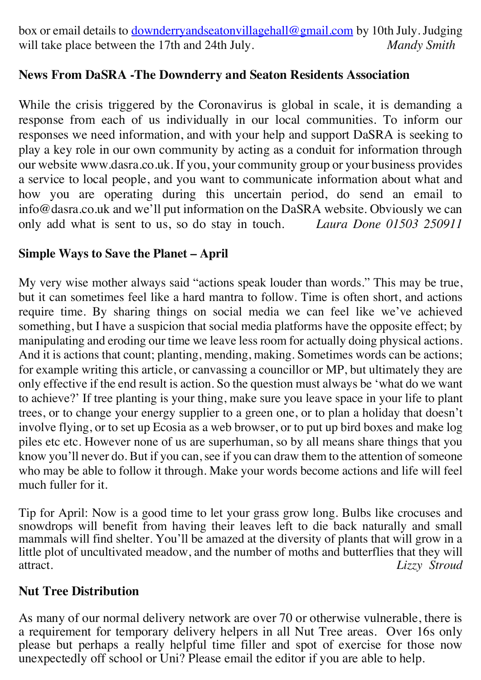box or email details to downderryandseatonvillagehall@gmail.com by 10th July. Judging will take place between the 17th and 24th July. *Mandy Smith* 

### **News From DaSRA -The Downderry and Seaton Residents Association**

While the crisis triggered by the Coronavirus is global in scale, it is demanding a response from each of us individually in our local communities. To inform our responses we need information, and with your help and support DaSRA is seeking to play a key role in our own community by acting as a conduit for information through our website www.dasra.co.uk. If you, your community group or your business provides a service to local people, and you want to communicate information about what and how you are operating during this uncertain period, do send an email to info@dasra.co.uk and we'll put information on the DaSRA website. Obviously we can only add what is sent to us, so do stay in touch. *Laura Done 01503 250911*

#### **Simple Ways to Save the Planet – April**

My very wise mother always said "actions speak louder than words." This may be true, but it can sometimes feel like a hard mantra to follow. Time is often short, and actions require time. By sharing things on social media we can feel like we've achieved something, but I have a suspicion that social media platforms have the opposite effect; by manipulating and eroding our time we leave less room for actually doing physical actions. And it is actions that count; planting, mending, making. Sometimes words can be actions; for example writing this article, or canvassing a councillor or MP, but ultimately they are only effective if the end result is action. So the question must always be 'what do we want to achieve?' If tree planting is your thing, make sure you leave space in your life to plant trees, or to change your energy supplier to a green one, or to plan a holiday that doesn't involve flying, or to set up Ecosia as a web browser, or to put up bird boxes and make log piles etc etc. However none of us are superhuman, so by all means share things that you know you'll never do. But if you can, see if you can draw them to the attention of someone who may be able to follow it through. Make your words become actions and life will feel much fuller for it.

Tip for April: Now is a good time to let your grass grow long. Bulbs like crocuses and snowdrops will benefit from having their leaves left to die back naturally and small mammals will find shelter. You'll be amazed at the diversity of plants that will grow in a little plot of uncultivated meadow, and the number of moths and butterflies that they will attract. *Lizzy Stroud*

#### **Nut Tree Distribution**

As many of our normal delivery network are over 70 or otherwise vulnerable, there is a requirement for temporary delivery helpers in all Nut Tree areas. Over 16s only please but perhaps a really helpful time filler and spot of exercise for those now unexpectedly off school or Uni? Please email the editor if you are able to help.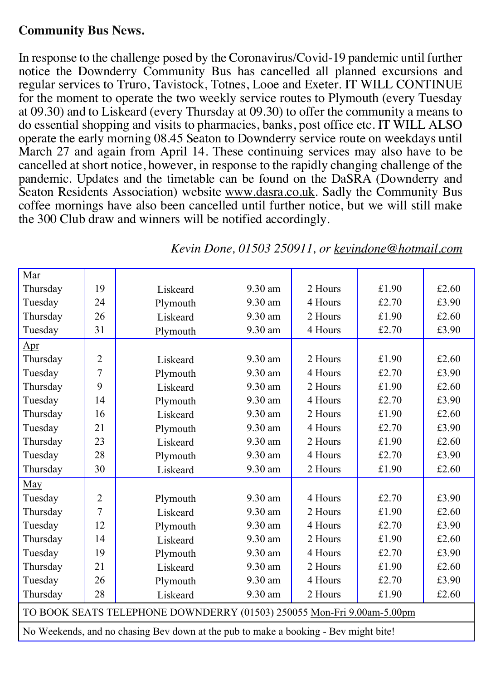### **Community Bus News.**

In response to the challenge posed by the Coronavirus/Covid-19 pandemic until further notice the Downderry Community Bus has cancelled all planned excursions and regular services to Truro, Tavistock, Totnes, Looe and Exeter. IT WILL CONTINUE for the moment to operate the two weekly service routes to Plymouth (every Tuesday at 09.30) and to Liskeard (every Thursday at 09.30) to offer the community a means to do essential shopping and visits to pharmacies, banks, post office etc. IT WILL ALSO operate the early morning 08.45 Seaton to Downderry service route on weekdays until March 27 and again from April 14. These continuing services may also have to be cancelled at short notice, however, in response to the rapidly changing challenge of the pandemic. Updates and the timetable can be found on the DaSRA (Downderry and Seaton Residents Association) website www.dasra.co.uk. Sadly the Community Bus coffee mornings have also been cancelled until further notice, but we will still make the 300 Club draw and winners will be notified accordingly.

| Mar                                                                                 |                |          |         |         |       |       |  |
|-------------------------------------------------------------------------------------|----------------|----------|---------|---------|-------|-------|--|
| Thursday                                                                            | 19             | Liskeard | 9.30 am | 2 Hours | £1.90 | £2.60 |  |
| Tuesday                                                                             | 24             | Plymouth | 9.30 am | 4 Hours | £2.70 | £3.90 |  |
| Thursday                                                                            | 26             | Liskeard | 9.30 am | 2 Hours | £1.90 | £2.60 |  |
| Tuesday                                                                             | 31             | Plymouth | 9.30 am | 4 Hours | £2.70 | £3.90 |  |
| $_{\rm Apr}$                                                                        |                |          |         |         |       |       |  |
| Thursday                                                                            | $\overline{2}$ | Liskeard | 9.30 am | 2 Hours | £1.90 | £2.60 |  |
| Tuesday                                                                             | 7              | Plymouth | 9.30 am | 4 Hours | £2.70 | £3.90 |  |
| Thursday                                                                            | 9              | Liskeard | 9.30 am | 2 Hours | £1.90 | £2.60 |  |
| Tuesday                                                                             | 14             | Plymouth | 9.30 am | 4 Hours | £2.70 | £3.90 |  |
| Thursday                                                                            | 16             | Liskeard | 9.30 am | 2 Hours | £1.90 | £2.60 |  |
| Tuesday                                                                             | 21             | Plymouth | 9.30 am | 4 Hours | £2.70 | £3.90 |  |
| Thursday                                                                            | 23             | Liskeard | 9.30 am | 2 Hours | £1.90 | £2.60 |  |
| Tuesday                                                                             | 28             | Plymouth | 9.30 am | 4 Hours | £2.70 | £3.90 |  |
| Thursday                                                                            | 30             | Liskeard | 9.30 am | 2 Hours | £1.90 | £2.60 |  |
| May                                                                                 |                |          |         |         |       |       |  |
| Tuesday                                                                             | $\overline{2}$ | Plymouth | 9.30 am | 4 Hours | £2.70 | £3.90 |  |
| Thursday                                                                            | $\overline{7}$ | Liskeard | 9.30 am | 2 Hours | £1.90 | £2.60 |  |
| Tuesday                                                                             | 12             | Plymouth | 9.30 am | 4 Hours | £2.70 | £3.90 |  |
| Thursday                                                                            | 14             | Liskeard | 9.30 am | 2 Hours | £1.90 | £2.60 |  |
| Tuesday                                                                             | 19             | Plymouth | 9.30 am | 4 Hours | £2.70 | £3.90 |  |
| Thursday                                                                            | 21             | Liskeard | 9.30 am | 2 Hours | £1.90 | £2.60 |  |
| Tuesday                                                                             | 26             | Plymouth | 9.30 am | 4 Hours | £2.70 | £3.90 |  |
| Thursday                                                                            | 28             | Liskeard | 9.30 am | 2 Hours | £1.90 | £2.60 |  |
| TO BOOK SEATS TELEPHONE DOWNDERRY (01503) 250055 Mon-Fri 9.00am-5.00pm              |                |          |         |         |       |       |  |
| No Weekends, and no chasing Bev down at the pub to make a booking - Bev might bite! |                |          |         |         |       |       |  |

*Kevin Done, 01503 250911, or kevindone@hotmail.com*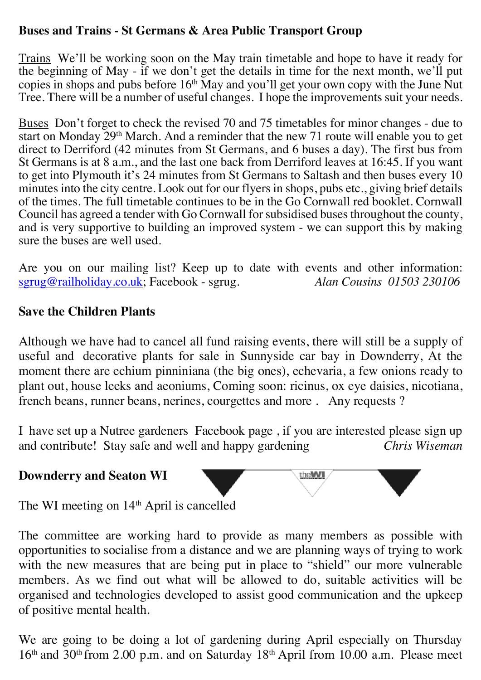### **Buses and Trains - St Germans & Area Public Transport Group**

Trains We'll be working soon on the May train timetable and hope to have it ready for the beginning of May - if we don't get the details in time for the next month, we'll put copies in shops and pubs before 16<sup>th</sup> May and you'll get your own copy with the June Nut Tree. There will be a number of useful changes. I hope the improvements suit your needs.

Buses Don't forget to check the revised 70 and 75 timetables for minor changes - due to start on Monday  $\sum_{n=1}^{\infty}$  March. And a reminder that the new 71 route will enable you to get direct to Derriford (42 minutes from St Germans, and 6 buses a day). The first bus from St Germans is at 8 a.m., and the last one back from Derriford leaves at 16:45. If you want to get into Plymouth it's 24 minutes from St Germans to Saltash and then buses every 10 minutes into the city centre. Look out for our flyers in shops, pubs etc., giving brief details of the times. The full timetable continues to be in the Go Cornwall red booklet. Cornwall Council has agreed a tender with Go Cornwall for subsidised buses throughout the county, and is very supportive to building an improved system - we can support this by making sure the buses are well used.

Are you on our mailing list? Keep up to date with events and other information:<br>sgrug@railholiday.co.uk: Facebook - sgrug. Alan Cousins 01503 230106 sgrug@railholiday.co.uk; Facebook - sgrug.

#### **Save the Children Plants**

Although we have had to cancel all fund raising events, there will still be a supply of useful and decorative plants for sale in Sunnyside car bay in Downderry, At the moment there are echium pinniniana (the big ones), echevaria, a few onions ready to plant out, house leeks and aeoniums, Coming soon: ricinus, ox eye daisies, nicotiana, french beans, runner beans, nerines, courgettes and more . Any requests ?

I have set up a Nutree gardeners Facebook page , if you are interested please sign up and contribute! Stay safe and well and happy gardening *Chris Wiseman*

#### **Downderry and Seaton WI**



The WI meeting on 14<sup>th</sup> April is cancelled

The committee are working hard to provide as many members as possible with opportunities to socialise from a distance and we are planning ways of trying to work with the new measures that are being put in place to "shield" our more vulnerable members. As we find out what will be allowed to do, suitable activities will be organised and technologies developed to assist good communication and the upkeep of positive mental health.

We are going to be doing a lot of gardening during April especially on Thursday 16<sup>th</sup> and 30<sup>th</sup> from 2.00 p.m. and on Saturday 18<sup>th</sup> April from 10.00 a.m. Please meet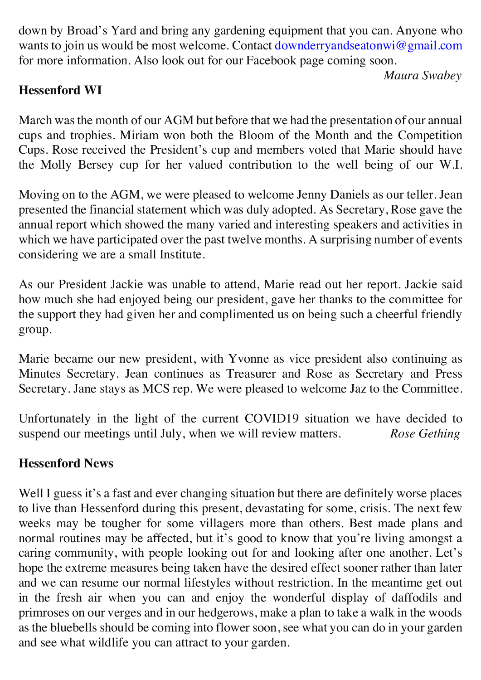down by Broad's Yard and bring any gardening equipment that you can. Anyone who wants to join us would be most welcome. Contact downderryandseatonwi@gmail.com for more information. Also look out for our Facebook page coming soon.

*Maura Swabey*

# **Hessenford WI**

March was the month of our AGM but before that we had the presentation of our annual cups and trophies. Miriam won both the Bloom of the Month and the Competition Cups. Rose received the President's cup and members voted that Marie should have the Molly Bersey cup for her valued contribution to the well being of our W.I.

Moving on to the AGM, we were pleased to welcome Jenny Daniels as our teller. Jean presented the financial statement which was duly adopted. As Secretary, Rose gave the annual report which showed the many varied and interesting speakers and activities in which we have participated over the past twelve months. A surprising number of events considering we are a small Institute.

As our President Jackie was unable to attend, Marie read out her report. Jackie said how much she had enjoyed being our president, gave her thanks to the committee for the support they had given her and complimented us on being such a cheerful friendly group.

Marie became our new president, with Yvonne as vice president also continuing as Minutes Secretary. Jean continues as Treasurer and Rose as Secretary and Press Secretary. Jane stays as MCS rep. We were pleased to welcome Jaz to the Committee.

Unfortunately in the light of the current COVID19 situation we have decided to suspend our meetings until July, when we will review matters. *Rose Gething*

# **Hessenford News**

Well I guess it's a fast and ever changing situation but there are definitely worse places to live than Hessenford during this present, devastating for some, crisis. The next few weeks may be tougher for some villagers more than others. Best made plans and normal routines may be affected, but it's good to know that you're living amongst a caring community, with people looking out for and looking after one another. Let's hope the extreme measures being taken have the desired effect sooner rather than later and we can resume our normal lifestyles without restriction. In the meantime get out in the fresh air when you can and enjoy the wonderful display of daffodils and primroses on our verges and in our hedgerows, make a plan to take a walk in the woods as the bluebells should be coming into flower soon, see what you can do in your garden and see what wildlife you can attract to your garden.